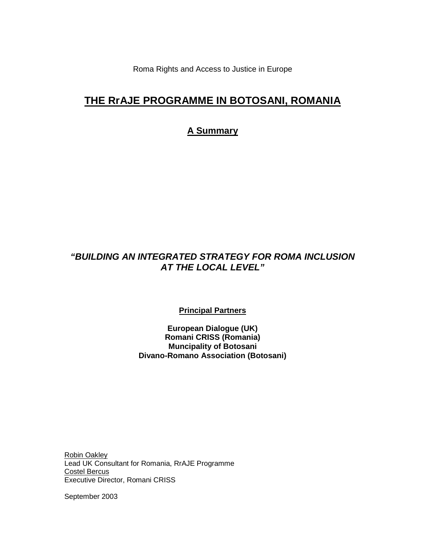Roma Rights and Access to Justice in Europe

# **THE RrAJE PROGRAMME IN BOTOSANI, ROMANIA**

# **A Summary**

# **"BUILDING AN INTEGRATED STRATEGY FOR ROMA INCLUSION AT THE LOCAL LEVEL"**

**Principal Partners**

**European Dialogue (UK) Romani CRISS (Romania) Muncipality of Botosani Divano-Romano Association (Botosani)** 

Robin Oakley Lead UK Consultant for Romania, RrAJE Programme Costel Bercus Executive Director, Romani CRISS

September 2003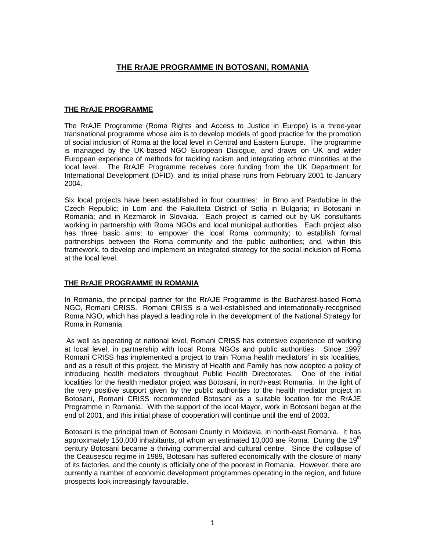# **THE RrAJE PROGRAMME IN BOTOSANI, ROMANIA**

## **THE RrAJE PROGRAMME**

The RrAJE Programme (Roma Rights and Access to Justice in Europe) is a three-year transnational programme whose aim is to develop models of good practice for the promotion of social inclusion of Roma at the local level in Central and Eastern Europe. The programme is managed by the UK-based NGO European Dialogue, and draws on UK and wider European experience of methods for tackling racism and integrating ethnic minorities at the local level. The RrAJE Programme receives core funding from the UK Department for International Development (DFID), and its initial phase runs from February 2001 to January 2004.

Six local projects have been established in four countries: in Brno and Pardubice in the Czech Republic; in Lom and the Fakulteta District of Sofia in Bulgaria; in Botosani in Romania; and in Kezmarok in Slovakia. Each project is carried out by UK consultants working in partnership with Roma NGOs and local municipal authorities. Each project also has three basic aims: to empower the local Roma community; to establish formal partnerships between the Roma community and the public authorities; and, within this framework, to develop and implement an integrated strategy for the social inclusion of Roma at the local level.

## **THE RrAJE PROGRAMME IN ROMANIA**

In Romania, the principal partner for the RrAJE Programme is the Bucharest-based Roma NGO, Romani CRISS. Romani CRISS is a well-established and internationally-recognised Roma NGO, which has played a leading role in the development of the National Strategy for Roma in Romania.

 As well as operating at national level, Romani CRISS has extensive experience of working at local level, in partnership with local Roma NGOs and public authorities. Since 1997 Romani CRISS has implemented a project to train 'Roma health mediators' in six localities, and as a result of this project, the Ministry of Health and Family has now adopted a policy of introducing health mediators throughout Public Health Directorates. One of the initial localities for the health mediator project was Botosani, in north-east Romania. In the light of the very positive support given by the public authorities to the health mediator project in Botosani, Romani CRISS recommended Botosani as a suitable location for the RrAJE Programme in Romania. With the support of the local Mayor, work in Botosani began at the end of 2001, and this initial phase of cooperation will continue until the end of 2003.

Botosani is the principal town of Botosani County in Moldavia, in north-east Romania. It has approximately 150,000 inhabitants, of whom an estimated 10,000 are Roma. During the 19<sup>th</sup> century Botosani became a thriving commercial and cultural centre. Since the collapse of the Ceausescu regime in 1989, Botosani has suffered economically with the closure of many of its factories, and the county is officially one of the poorest in Romania. However, there are currently a number of economic development programmes operating in the region, and future prospects look increasingly favourable.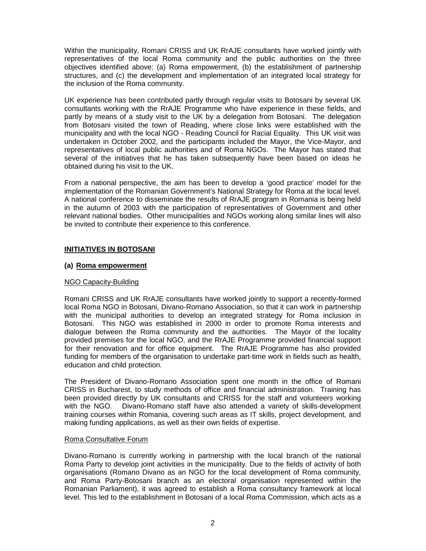Within the municipality, Romani CRISS and UK RrAJE consultants have worked jointly with representatives of the local Roma community and the public authorities on the three objectives identified above: (a) Roma empowerment, (b) the establishment of partnership structures, and (c) the development and implementation of an integrated local strategy for the inclusion of the Roma community.

UK experience has been contributed partly through regular visits to Botosani by several UK consultants working with the RrAJE Programme who have experience in these fields, and partly by means of a study visit to the UK by a delegation from Botosani. The delegation from Botosani visited the town of Reading, where close links were established with the municipality and with the local NGO - Reading Council for Racial Equality. This UK visit was undertaken in October 2002, and the participants included the Mayor, the Vice-Mayor, and representatives of local public authorities and of Roma NGOs. The Mayor has stated that several of the initiatives that he has taken subsequently have been based on ideas he obtained during his visit to the UK.

From a national perspective, the aim has been to develop a 'good practice' model for the implementation of the Romanian Government's National Strategy for Roma at the local level. A national conference to disseminate the results of RrAJE program in Romania is being held in the autumn of 2003 with the participation of representatives of Government and other relevant national bodies. Other municipalities and NGOs working along similar lines will also be invited to contribute their experience to this conference.

## **INITIATIVES IN BOTOSANI**

## **(a) Roma empowerment**

## NGO Capacity-Building

Romani CRISS and UK RrAJE consultants have worked jointly to support a recently-formed local Roma NGO in Botosani, Divano-Romano Association, so that it can work in partnership with the municipal authorities to develop an integrated strategy for Roma inclusion in Botosani. This NGO was established in 2000 in order to promote Roma interests and dialogue between the Roma community and the authorities. The Mayor of the locality provided premises for the local NGO, and the RrAJE Programme provided financial support for their renovation and for office equipment. The RrAJE Programme has also provided funding for members of the organisation to undertake part-time work in fields such as health, education and child protection.

The President of Divano-Romano Association spent one month in the office of Romani CRISS in Bucharest, to study methods of office and financial administration. Training has been provided directly by UK consultants and CRISS for the staff and volunteers working with the NGO. Divano-Romano staff have also attended a variety of skills-development training courses within Romania, covering such areas as IT skills, project development, and making funding applications, as well as their own fields of expertise.

## Roma Consultative Forum

Divano-Romano is currently working in partnership with the local branch of the national Roma Party to develop joint activities in the municipality. Due to the fields of activity of both organisations (Romano Divano as an NGO for the local development of Roma community, and Roma Party-Botosani branch as an electoral organisation represented within the Romanian Parliament), it was agreed to establish a Roma consultancy framework at local level. This led to the establishment in Botosani of a local Roma Commission, which acts as a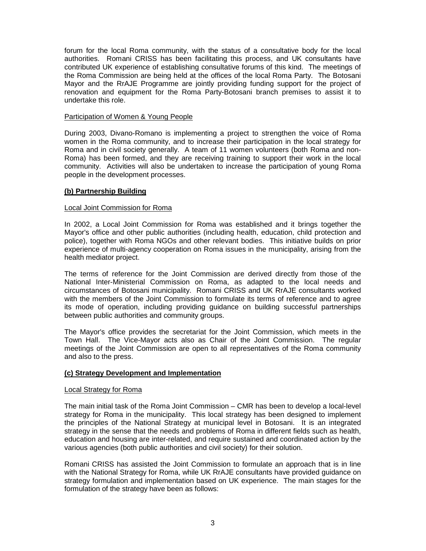forum for the local Roma community, with the status of a consultative body for the local authorities. Romani CRISS has been facilitating this process, and UK consultants have contributed UK experience of establishing consultative forums of this kind. The meetings of the Roma Commission are being held at the offices of the local Roma Party. The Botosani Mayor and the RrAJE Programme are jointly providing funding support for the project of renovation and equipment for the Roma Party-Botosani branch premises to assist it to undertake this role.

## Participation of Women & Young People

During 2003, Divano-Romano is implementing a project to strengthen the voice of Roma women in the Roma community, and to increase their participation in the local strategy for Roma and in civil society generally. A team of 11 women volunteers (both Roma and non-Roma) has been formed, and they are receiving training to support their work in the local community. Activities will also be undertaken to increase the participation of young Roma people in the development processes.

## **(b) Partnership Building**

#### Local Joint Commission for Roma

In 2002, a Local Joint Commission for Roma was established and it brings together the Mayor's office and other public authorities (including health, education, child protection and police), together with Roma NGOs and other relevant bodies. This initiative builds on prior experience of multi-agency cooperation on Roma issues in the municipality, arising from the health mediator project.

The terms of reference for the Joint Commission are derived directly from those of the National Inter-Ministerial Commission on Roma, as adapted to the local needs and circumstances of Botosani municipality. Romani CRISS and UK RrAJE consultants worked with the members of the Joint Commission to formulate its terms of reference and to agree its mode of operation, including providing guidance on building successful partnerships between public authorities and community groups.

The Mayor's office provides the secretariat for the Joint Commission, which meets in the Town Hall. The Vice-Mayor acts also as Chair of the Joint Commission. The regular meetings of the Joint Commission are open to all representatives of the Roma community and also to the press.

## **(c) Strategy Development and Implementation**

#### Local Strategy for Roma

The main initial task of the Roma Joint Commission – CMR has been to develop a local-level strategy for Roma in the municipality. This local strategy has been designed to implement the principles of the National Strategy at municipal level in Botosani. It is an integrated strategy in the sense that the needs and problems of Roma in different fields such as health, education and housing are inter-related, and require sustained and coordinated action by the various agencies (both public authorities and civil society) for their solution.

Romani CRISS has assisted the Joint Commission to formulate an approach that is in line with the National Strategy for Roma, while UK RrAJE consultants have provided guidance on strategy formulation and implementation based on UK experience. The main stages for the formulation of the strategy have been as follows: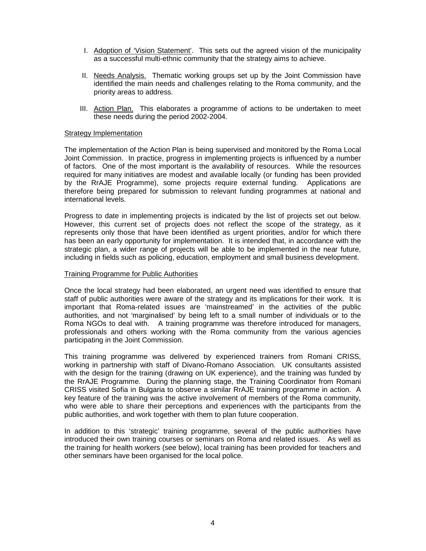- I. Adoption of 'Vision Statement'. This sets out the agreed vision of the municipality as a successful multi-ethnic community that the strategy aims to achieve.
- II. Needs Analysis. Thematic working groups set up by the Joint Commission have identified the main needs and challenges relating to the Roma community, and the priority areas to address.
- III. Action Plan. This elaborates a programme of actions to be undertaken to meet these needs during the period 2002-2004.

#### Strategy Implementation

The implementation of the Action Plan is being supervised and monitored by the Roma Local Joint Commission. In practice, progress in implementing projects is influenced by a number of factors. One of the most important is the availability of resources. While the resources required for many initiatives are modest and available locally (or funding has been provided by the RrAJE Programme), some projects require external funding. Applications are therefore being prepared for submission to relevant funding programmes at national and international levels.

Progress to date in implementing projects is indicated by the list of projects set out below. However, this current set of projects does not reflect the scope of the strategy, as it represents only those that have been identified as urgent priorities, and/or for which there has been an early opportunity for implementation. It is intended that, in accordance with the strategic plan, a wider range of projects will be able to be implemented in the near future, including in fields such as policing, education, employment and small business development.

#### Training Programme for Public Authorities

Once the local strategy had been elaborated, an urgent need was identified to ensure that staff of public authorities were aware of the strategy and its implications for their work. It is important that Roma-related issues are 'mainstreamed' in the activities of the public authorities, and not 'marginalised' by being left to a small number of individuals or to the Roma NGOs to deal with. A training programme was therefore introduced for managers, professionals and others working with the Roma community from the various agencies participating in the Joint Commission.

This training programme was delivered by experienced trainers from Romani CRISS, working in partnership with staff of Divano-Romano Association. UK consultants assisted with the design for the training (drawing on UK experience), and the training was funded by the RrAJE Programme. During the planning stage, the Training Coordinator from Romani CRISS visited Sofia in Bulgaria to observe a similar RrAJE training programme in action. A key feature of the training was the active involvement of members of the Roma community, who were able to share their perceptions and experiences with the participants from the public authorities, and work together with them to plan future cooperation.

In addition to this 'strategic' training programme, several of the public authorities have introduced their own training courses or seminars on Roma and related issues. As well as the training for health workers (see below), local training has been provided for teachers and other seminars have been organised for the local police.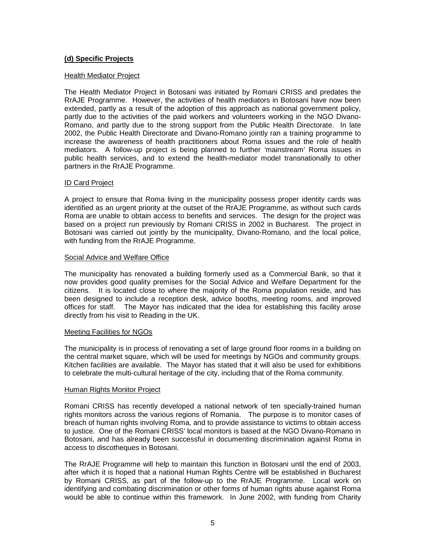## **(d) Specific Projects**

#### Health Mediator Project

The Health Mediator Project in Botosani was initiated by Romani CRISS and predates the RrAJE Programme. However, the activities of health mediators in Botosani have now been extended, partly as a result of the adoption of this approach as national government policy, partly due to the activities of the paid workers and volunteers working in the NGO Divano-Romano, and partly due to the strong support from the Public Health Directorate. In late 2002, the Public Health Directorate and Divano-Romano jointly ran a training programme to increase the awareness of health practitioners about Roma issues and the role of health mediators. A follow-up project is being planned to further 'mainstream' Roma issues in public health services, and to extend the health-mediator model transnationally to other partners in the RrAJE Programme.

#### ID Card Project

A project to ensure that Roma living in the municipality possess proper identity cards was identified as an urgent priority at the outset of the RrAJE Programme, as without such cards Roma are unable to obtain access to benefits and services. The design for the project was based on a project run previously by Romani CRISS in 2002 in Bucharest. The project in Botosani was carried out jointly by the municipality, Divano-Romano, and the local police, with funding from the RrAJE Programme.

#### Social Advice and Welfare Office

The municipality has renovated a building formerly used as a Commercial Bank, so that it now provides good quality premises for the Social Advice and Welfare Department for the citizens. It is located close to where the majority of the Roma population reside, and has been designed to include a reception desk, advice booths, meeting rooms, and improved offices for staff. The Mayor has indicated that the idea for establishing this facility arose directly from his visit to Reading in the UK.

## Meeting Facilities for NGOs

The municipality is in process of renovating a set of large ground floor rooms in a building on the central market square, which will be used for meetings by NGOs and community groups. Kitchen facilities are available. The Mayor has stated that it will also be used for exhibitions to celebrate the multi-cultural heritage of the city, including that of the Roma community.

#### Human Rights Monitor Project

Romani CRISS has recently developed a national network of ten specially-trained human rights monitors across the various regions of Romania. The purpose is to monitor cases of breach of human rights involving Roma, and to provide assistance to victims to obtain access to justice. One of the Romani CRISS' local monitors is based at the NGO Divano-Romano in Botosani, and has already been successful in documenting discrimination against Roma in access to discotheques in Botosani.

The RrAJE Programme will help to maintain this function in Botosani until the end of 2003, after which it is hoped that a national Human Rights Centre will be established in Bucharest by Romani CRISS, as part of the follow-up to the RrAJE Programme. Local work on identifying and combating discrimination or other forms of human rights abuse against Roma would be able to continue within this framework. In June 2002, with funding from Charity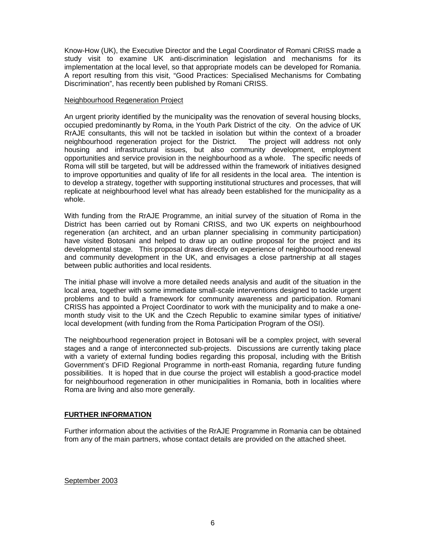Know-How (UK), the Executive Director and the Legal Coordinator of Romani CRISS made a study visit to examine UK anti-discrimination legislation and mechanisms for its implementation at the local level, so that appropriate models can be developed for Romania. A report resulting from this visit, "Good Practices: Specialised Mechanisms for Combating Discrimination", has recently been published by Romani CRISS.

## Neighbourhood Regeneration Project

An urgent priority identified by the municipality was the renovation of several housing blocks, occupied predominantly by Roma, in the Youth Park District of the city. On the advice of UK RrAJE consultants, this will not be tackled in isolation but within the context of a broader neighbourhood regeneration project for the District. The project will address not only housing and infrastructural issues, but also community development, employment opportunities and service provision in the neighbourhood as a whole. The specific needs of Roma will still be targeted, but will be addressed within the framework of initiatives designed to improve opportunities and quality of life for all residents in the local area. The intention is to develop a strategy, together with supporting institutional structures and processes, that will replicate at neighbourhood level what has already been established for the municipality as a whole.

With funding from the RrAJE Programme, an initial survey of the situation of Roma in the District has been carried out by Romani CRISS, and two UK experts on neighbourhood regeneration (an architect, and an urban planner specialising in community participation) have visited Botosani and helped to draw up an outline proposal for the project and its developmental stage. This proposal draws directly on experience of neighbourhood renewal and community development in the UK, and envisages a close partnership at all stages between public authorities and local residents.

The initial phase will involve a more detailed needs analysis and audit of the situation in the local area, together with some immediate small-scale interventions designed to tackle urgent problems and to build a framework for community awareness and participation. Romani CRISS has appointed a Project Coordinator to work with the municipality and to make a onemonth study visit to the UK and the Czech Republic to examine similar types of initiative/ local development (with funding from the Roma Participation Program of the OSI).

The neighbourhood regeneration project in Botosani will be a complex project, with several stages and a range of interconnected sub-projects. Discussions are currently taking place with a variety of external funding bodies regarding this proposal, including with the British Government's DFID Regional Programme in north-east Romania, regarding future funding possibilities. It is hoped that in due course the project will establish a good-practice model for neighbourhood regeneration in other municipalities in Romania, both in localities where Roma are living and also more generally.

## **FURTHER INFORMATION**

Further information about the activities of the RrAJE Programme in Romania can be obtained from any of the main partners, whose contact details are provided on the attached sheet.

September 2003